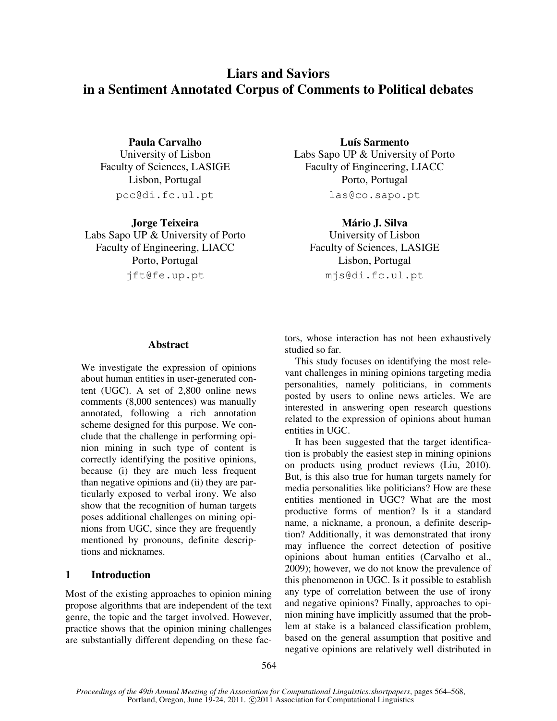# **Liars and Saviors in a Sentiment Annotated Corpus of Comments to Political debates**

pcc@di.fc.ul.pt las@co.sapo.pt

**Jorge Teixeira Mário J. Silva** Labs Sapo UP & University of Porto University of Lisbon Faculty of Engineering, LIACC Faculty of Sciences, LASIGE Porto, Portugal Lisbon, Portugal jft@fe.up.pt mjs@di.fc.ul.pt

**Paula Carvalho Luís Sarmento** University of Lisbon Labs Sapo UP & University of Porto Faculty of Sciences, LASIGE Faculty of Engineering, LIACC Lisbon, Portugal Porto, Portugal

# **Abstract**

We investigate the expression of opinions about human entities in user-generated content (UGC). A set of 2,800 online news comments (8,000 sentences) was manually annotated, following a rich annotation scheme designed for this purpose. We conclude that the challenge in performing opinion mining in such type of content is correctly identifying the positive opinions, because (i) they are much less frequent than negative opinions and (ii) they are particularly exposed to verbal irony. We also show that the recognition of human targets poses additional challenges on mining opinions from UGC, since they are frequently mentioned by pronouns, definite descriptions and nicknames.

## **1 Introduction**

Most of the existing approaches to opinion mining propose algorithms that are independent of the text genre, the topic and the target involved. However, practice shows that the opinion mining challenges are substantially different depending on these factors, whose interaction has not been exhaustively studied so far.

This study focuses on identifying the most relevant challenges in mining opinions targeting media personalities, namely politicians, in comments posted by users to online news articles. We are interested in answering open research questions related to the expression of opinions about human entities in UGC.

It has been suggested that the target identification is probably the easiest step in mining opinions on products using product reviews (Liu, 2010). But, is this also true for human targets namely for media personalities like politicians? How are these entities mentioned in UGC? What are the most productive forms of mention? Is it a standard name, a nickname, a pronoun, a definite description? Additionally, it was demonstrated that irony may influence the correct detection of positive opinions about human entities (Carvalho et al., 2009); however, we do not know the prevalence of this phenomenon in UGC. Is it possible to establish any type of correlation between the use of irony and negative opinions? Finally, approaches to opinion mining have implicitly assumed that the problem at stake is a balanced classification problem, based on the general assumption that positive and negative opinions are relatively well distributed in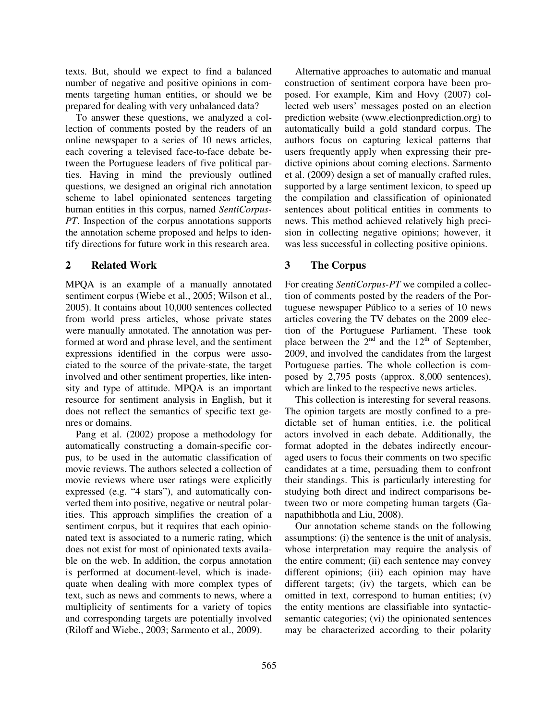texts. But, should we expect to find a balanced number of negative and positive opinions in comments targeting human entities, or should we be prepared for dealing with very unbalanced data?

To answer these questions, we analyzed a collection of comments posted by the readers of an online newspaper to a series of 10 news articles, each covering a televised face-to-face debate between the Portuguese leaders of five political parties. Having in mind the previously outlined questions, we designed an original rich annotation scheme to label opinionated sentences targeting human entities in this corpus, named *SentiCorpus-PT*. Inspection of the corpus annotations supports the annotation scheme proposed and helps to identify directions for future work in this research area.

# **2 Related Work**

MPQA is an example of a manually annotated sentiment corpus (Wiebe et al., 2005; Wilson et al., 2005). It contains about 10,000 sentences collected from world press articles, whose private states were manually annotated. The annotation was performed at word and phrase level, and the sentiment expressions identified in the corpus were associated to the source of the private-state, the target involved and other sentiment properties, like intensity and type of attitude. MPQA is an important resource for sentiment analysis in English, but it does not reflect the semantics of specific text genres or domains.

Pang et al. (2002) propose a methodology for automatically constructing a domain-specific corpus, to be used in the automatic classification of movie reviews. The authors selected a collection of movie reviews where user ratings were explicitly expressed (e.g. "4 stars"), and automatically converted them into positive, negative or neutral polarities. This approach simplifies the creation of a sentiment corpus, but it requires that each opinionated text is associated to a numeric rating, which does not exist for most of opinionated texts available on the web. In addition, the corpus annotation is performed at document-level, which is inadequate when dealing with more complex types of text, such as news and comments to news, where a multiplicity of sentiments for a variety of topics and corresponding targets are potentially involved (Riloff and Wiebe., 2003; Sarmento et al., 2009).

Alternative approaches to automatic and manual construction of sentiment corpora have been proposed. For example, Kim and Hovy (2007) collected web users' messages posted on an election prediction website (www.electionprediction.org) to automatically build a gold standard corpus. The authors focus on capturing lexical patterns that users frequently apply when expressing their predictive opinions about coming elections. Sarmento et al. (2009) design a set of manually crafted rules, supported by a large sentiment lexicon, to speed up the compilation and classification of opinionated sentences about political entities in comments to news. This method achieved relatively high precision in collecting negative opinions; however, it was less successful in collecting positive opinions.

# **3 The Corpus**

For creating *SentiCorpus-PT* we compiled a collection of comments posted by the readers of the Portuguese newspaper Público to a series of 10 news articles covering the TV debates on the 2009 election of the Portuguese Parliament. These took place between the  $2<sup>nd</sup>$  and the  $12<sup>th</sup>$  of September, 2009, and involved the candidates from the largest Portuguese parties. The whole collection is composed by 2,795 posts (approx. 8,000 sentences), which are linked to the respective news articles.

This collection is interesting for several reasons. The opinion targets are mostly confined to a predictable set of human entities, i.e. the political actors involved in each debate. Additionally, the format adopted in the debates indirectly encouraged users to focus their comments on two specific candidates at a time, persuading them to confront their standings. This is particularly interesting for studying both direct and indirect comparisons between two or more competing human targets (Ganapathibhotla and Liu, 2008).

Our annotation scheme stands on the following assumptions: (i) the sentence is the unit of analysis, whose interpretation may require the analysis of the entire comment; (ii) each sentence may convey different opinions; (iii) each opinion may have different targets; (iv) the targets, which can be omitted in text, correspond to human entities; (v) the entity mentions are classifiable into syntacticsemantic categories; (vi) the opinionated sentences may be characterized according to their polarity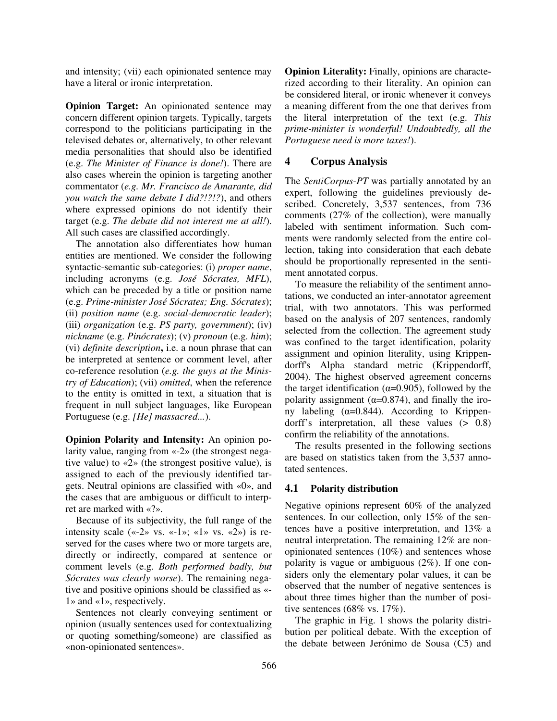and intensity; (vii) each opinionated sentence may have a literal or ironic interpretation.

**Opinion Target:** An opinionated sentence may concern different opinion targets. Typically, targets correspond to the politicians participating in the televised debates or, alternatively, to other relevant media personalities that should also be identified (e.g. *The Minister of Finance is done!*). There are also cases wherein the opinion is targeting another commentator (*e.g. Mr. Francisco de Amarante, did you watch the same debate I did?!?!?*), and others where expressed opinions do not identify their target (e.g. *The debate did not interest me at all!*). All such cases are classified accordingly.

The annotation also differentiates how human entities are mentioned. We consider the following syntactic-semantic sub-categories: (i) *proper name*, including acronyms (e.g. *José Sócrates, MFL*), which can be preceded by a title or position name (e.g. *Prime-minister José Sócrates; Eng. Sócrates*); (ii) *position name* (e.g. *social-democratic leader*); (iii) *organization* (e.g. *PS party, government*); (iv) *nickname* (e.g. *Pinócrates*); (v) *pronoun* (e.g. *him*); (vi) *definite description***,** i.e. a noun phrase that can be interpreted at sentence or comment level, after co-reference resolution (*e.g. the guys at the Ministry of Education*); (vii) *omitted*, when the reference to the entity is omitted in text, a situation that is frequent in null subject languages, like European Portuguese (e.g. *[He] massacred...*).

**Opinion Polarity and Intensity:** An opinion polarity value, ranging from «-2» (the strongest negative value) to «2» (the strongest positive value), is assigned to each of the previously identified targets. Neutral opinions are classified with «0», and the cases that are ambiguous or difficult to interpret are marked with «?».

Because of its subjectivity, the full range of the intensity scale («-2» vs. «-1»; «1» vs. «2») is reserved for the cases where two or more targets are, directly or indirectly, compared at sentence or comment levels (e.g. *Both performed badly, but Sócrates was clearly worse*). The remaining negative and positive opinions should be classified as «- 1» and «1», respectively.

Sentences not clearly conveying sentiment or opinion (usually sentences used for contextualizing or quoting something/someone) are classified as «non-opinionated sentences».

**Opinion Literality:** Finally, opinions are characterized according to their literality. An opinion can be considered literal, or ironic whenever it conveys a meaning different from the one that derives from the literal interpretation of the text (e.g. *This prime-minister is wonderful! Undoubtedly, all the Portuguese need is more taxes!*).

# **4 Corpus Analysis**

The *SentiCorpus-PT* was partially annotated by an expert, following the guidelines previously described. Concretely, 3,537 sentences, from 736 comments (27% of the collection), were manually labeled with sentiment information. Such comments were randomly selected from the entire collection, taking into consideration that each debate should be proportionally represented in the sentiment annotated corpus.

To measure the reliability of the sentiment annotations, we conducted an inter-annotator agreement trial, with two annotators. This was performed based on the analysis of 207 sentences, randomly selected from the collection. The agreement study was confined to the target identification, polarity assignment and opinion literality, using Krippendorff's Alpha standard metric (Krippendorff, 2004). The highest observed agreement concerns the target identification ( $\alpha$ =0.905), followed by the polarity assignment ( $\alpha$ =0.874), and finally the irony labeling ( $α=0.844$ ). According to Krippendorff's interpretation, all these values (> 0.8) confirm the reliability of the annotations.

The results presented in the following sections are based on statistics taken from the 3,537 annotated sentences.

# **4.1 Polarity distribution**

Negative opinions represent 60% of the analyzed sentences. In our collection, only 15% of the sentences have a positive interpretation, and 13% a neutral interpretation. The remaining 12% are nonopinionated sentences (10%) and sentences whose polarity is vague or ambiguous (2%). If one considers only the elementary polar values, it can be observed that the number of negative sentences is about three times higher than the number of positive sentences (68% vs. 17%).

The graphic in Fig. 1 shows the polarity distribution per political debate. With the exception of the debate between Jerónimo de Sousa (C5) and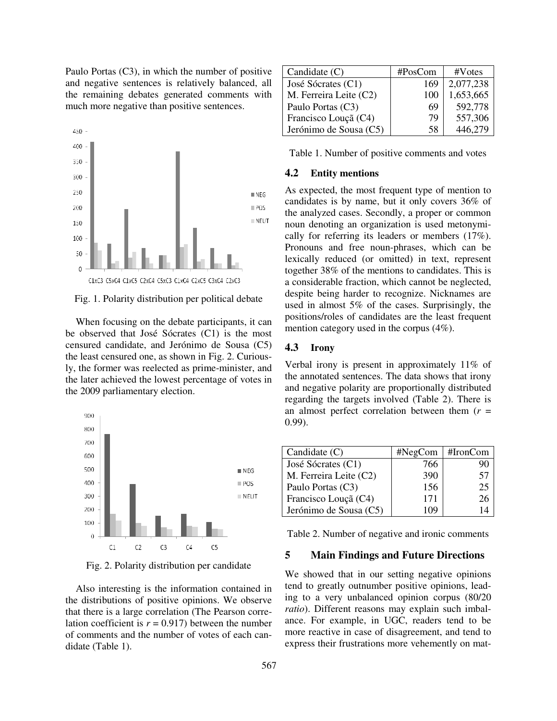Paulo Portas (C3), in which the number of positive and negative sentences is relatively balanced, all the remaining debates generated comments with much more negative than positive sentences.



Fig. 1. Polarity distribution per political debate

When focusing on the debate participants, it can be observed that José Sócrates (C1) is the most censured candidate, and Jerónimo de Sousa (C5) the least censured one, as shown in Fig. 2. Curiously, the former was reelected as prime-minister, and the later achieved the lowest percentage of votes in the 2009 parliamentary election.



Fig. 2. Polarity distribution per candidate

Also interesting is the information contained in the distributions of positive opinions. that there is a large correlation (The Pearson correlation coefficient is  $r = 0.917$ ) between the number of comments and the number of votes of each candidate (Table 1).

| Candidate $(C)$        | #PosCom | #Votes    |
|------------------------|---------|-----------|
| José Sócrates (C1)     | 169     | 2,077,238 |
| M. Ferreira Leite (C2) | 100     | 1,653,665 |
| Paulo Portas (C3)      | 69      | 592,778   |
| Francisco Louçã (C4)   | 79      | 557,306   |
| Jerónimo de Sousa (C5) | 58      | 446,279   |

Table 1. Number of positive comments and votes

#### **4.2 Entity mentions**

As expected, the most frequent type of mention to candidates is by name, but it only covers 36% of the analyzed cases. Secondly, a proper or common the analyzed cases. Secondly, a proper or common<br>noun denoting an organization is used metonymically for referring its leaders or members  $(17\%)$ . Pronouns and free noun-phrases, which can be lexically reduced (or omitted) in text, represent together 38% of the mentions to candidates. This is a considerable fraction, which cannot be neglected, despite being harder to recognize. Nicknames are used in almost  $5\%$  of the cases. Surprisingly, the positions/roles of candidates are the least frequent mention category used in the corpus  $(4\%)$ .

## **4.3 Irony**

Verbal irony is present in approximately 11% of the annotated sentences. The data shows that irony and negative polarity are proportionally distributed regarding the targets involved (Table 2). There is an almost perfect correlation between them  $(r =$ 0.99). Verbal irony is present in approximately 11% of the annotated sentences. The data shows that irony and negative polarity are proportionally distributed regarding the targets involved (Table 2). There is

| Candidate $(C)$        | #NegCom | $#$ Iron $Com$ |
|------------------------|---------|----------------|
| José Sócrates (C1)     | 766     | 90             |
| M. Ferreira Leite (C2) | 390     | 57             |
| Paulo Portas (C3)      | 156     | 25             |
| Francisco Louçã (C4)   | 171     | 26             |
| Jerónimo de Sousa (C5) | 1 I Y   |                |

Table 2. Number of negative and ironic comments

## **5 Main Findings and Future Directions**

We showed that in our setting negative opinions tend to greatly outnumber positive opinions, leading to a very unbalanced opinion corpus (80/20 ratio). Different reasons may explain such imbalance. For example, in UGC, readers tend to be ance. For example, in UGC, readers tend to be more reactive in case of disagreement, and tend to express their frustrations more vehemently on mat